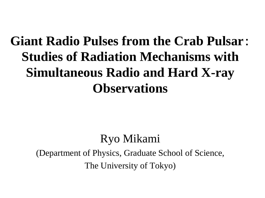#### **Giant Radio Pulses from the Crab Pulsar**: **Studies of Radiation Mechanisms with Simultaneous Radio and Hard X-ray Observations**

#### Ryo Mikami

(Department of Physics, Graduate School of Science, The University of Tokyo)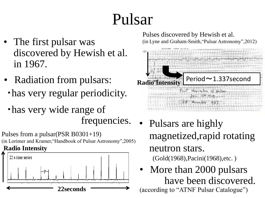# Pulsar

- The first pulsar was discovered by Hewish et al. in 1967.
- Radiation from pulsars:
- ・has very regular periodicity.
- ・has very wide range of frequencies.

Pulses from a pulsar(PSR B0301+19) (in Lorimer and Kramer,"Handbook of Pulsar Astronomy",2005) **Radio Intensity**



Pulses discovered by Hewish et al. (in Lyne and Graham-Smith,"Pulsar Astronomy",2012)



- Pulsars are highly magnetized,rapid rotating neutron stars. (Gold(1968),Pacini(1968),etc. )
- More than 2000 pulsars have been discovered. (according to "ATNF Pulsar Catalogue")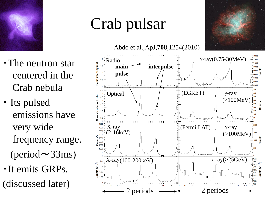

# Crab pulsar

Abdo et al.,ApJ,**708**,1254(2010)

- ・The neutron star centered in the Crab nebula
- ・ Its pulsed emissions have very wide frequency range.  $(\text{period} \sim 33 \text{ms})$ ・It emits GRPs.
- (discussed later)

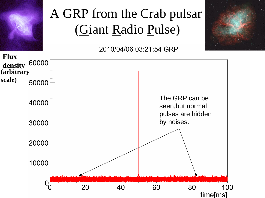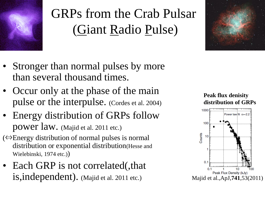

### GRPs from the Crab Pulsar (Giant Radio Pulse)

- Stronger than normal pulses by more than several thousand times.
- Occur only at the phase of the main pulse or the interpulse. (Cordes et al. 2004)
- Energy distribution of GRPs follow power law. (Majid et al. 2011 etc.)
- (⇔Energy distribution of normal pulses is normal distribution or exponential distribution(Hesse and Wielebinski, 1974 etc.))
- Each GRP is not correlated(, that is,independent). (Majid et al. 2011 etc.)





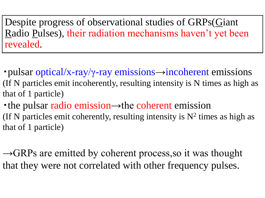Despite progress of observational studies of GRPs(Giant Radio Pulses), their radiation mechanisms haven't yet been revealed.

- pulsar optical/x-ray/ $\gamma$ -ray emissions  $\rightarrow$ incoherent emissions (If N particles emit incoherently, resulting intensity is N times as high as that of 1 particle)
- ・the pulsar radio emission→the coherent emission (If N particles emit coherently, resulting intensity is  $N^2$  times as high as that of 1 particle)

 $\rightarrow$ GRPs are emitted by coherent process, so it was thought that they were not correlated with other frequency pulses.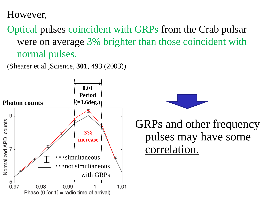However,

Optical pulses coincident with GRPs from the Crab pulsar were on average 3% brighter than those coincident with normal pulses.

(Shearer et al.,Science, **301**, 493 (2003))





GRPs and other frequency pulses may have some correlation.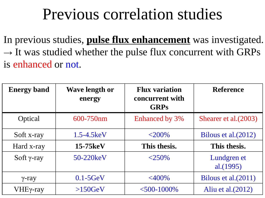### Previous correlation studies

In previous studies, **pulse flux enhancement** was investigated.  $\rightarrow$  It was studied whether the pulse flux concurrent with GRPs is enhanced or not.

| <b>Energy band</b> | <b>Wave length or</b><br>energy | <b>Flux variation</b><br>concurrent with<br><b>GRPs</b> | <b>Reference</b>            |
|--------------------|---------------------------------|---------------------------------------------------------|-----------------------------|
| Optical            | 600-750nm                       | Enhanced by 3%                                          | Shearer et al. (2003)       |
| Soft x-ray         | $1.5 - 4.5$ keV                 | $<$ 200%                                                | Bilous et al. (2012)        |
| Hard x-ray         | $15-75keV$                      | This thesis.                                            | This thesis.                |
| Soft $\gamma$ -ray | $50-220keV$                     | $<$ 250%                                                | Lundgren et<br>al. $(1995)$ |
| $\gamma$ -ray      | $0.1 - 5$ GeV                   | $<\!\!400\!\%$                                          | Bilous et al. (2011)        |
| VHEγ-ray           | >150GeV                         | $<$ 500-1000%                                           | Aliu et al. $(2012)$        |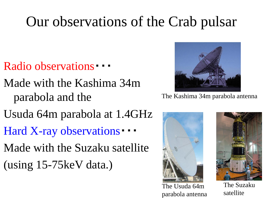### Our observations of the Crab pulsar

- Radio observations •
- Made with the Kashima 34m parabola and the
- Usuda 64m parabola at 1.4GHz
- Hard X-ray observations •
- Made with the Suzaku satellite
- (using 15-75keV data.)



The Kashima 34m parabola antenna



The Usuda 64m parabola antenna



The Suzaku satellite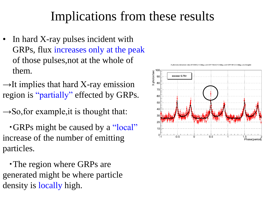#### Implications from these results

- In hard X-ray pulses incident with GRPs, flux increases only at the peak of those pulses,not at the whole of them.
- $\rightarrow$ It implies that hard X-ray emission region is "partially" effected by GRPs.
- $\rightarrow$ So, for example, it is thought that:
- ・GRPs might be caused by a "local" increase of the number of emitting particles.

・The region where GRPs are generated might be where particle density is locally high.



detection rate 2010/4/6/-1.5deg.cut)+2011/3/22/+0.6deg.cut)+2011/9/1/-0.5deg.cut):3degbir